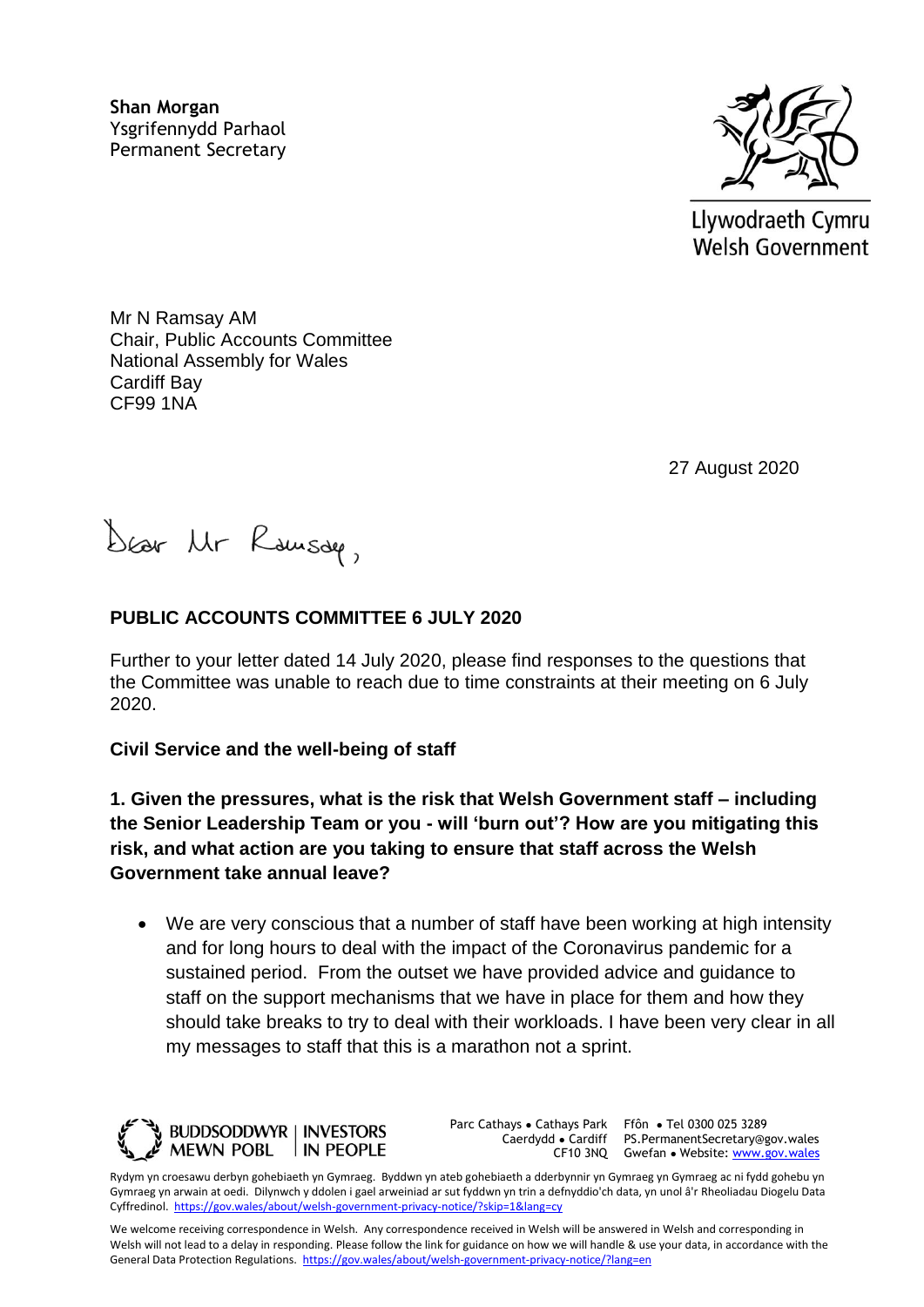**Shan Morgan**  Ysgrifennydd Parhaol Permanent Secretary



Llywodraeth Cymru **Welsh Government** 

Mr N Ramsay AM Chair, Public Accounts Committee National Assembly for Wales Cardiff Bay CF99 1NA

27 August 2020

Dear Ur Rousser,

# **PUBLIC ACCOUNTS COMMITTEE 6 JULY 2020**

Further to your letter dated 14 July 2020, please find responses to the questions that the Committee was unable to reach due to time constraints at their meeting on 6 July 2020.

#### **Civil Service and the well-being of staff**

**1. Given the pressures, what is the risk that Welsh Government staff – including the Senior Leadership Team or you - will 'burn out'? How are you mitigating this risk, and what action are you taking to ensure that staff across the Welsh Government take annual leave?** 

 We are very conscious that a number of staff have been working at high intensity and for long hours to deal with the impact of the Coronavirus pandemic for a sustained period. From the outset we have provided advice and guidance to staff on the support mechanisms that we have in place for them and how they should take breaks to try to deal with their workloads. I have been very clear in all my messages to staff that this is a marathon not a sprint.



Parc Cathays ● Cathays Park

Caerdydd ● Cardiff PS.PermanentSecretary@gov.wales CF10 3NQ Gwefan • Website: [www.gov.wales](http://www.gov.wales/) Ffôn ● Tel 0300 025 3289

Rydym yn croesawu derbyn gohebiaeth yn Gymraeg. Byddwn yn ateb gohebiaeth a dderbynnir yn Gymraeg yn Gymraeg ac ni fydd gohebu yn Gymraeg yn arwain at oedi. Dilynwch y ddolen i gael arweiniad ar sut fyddwn yn trin a defnyddio'ch data, yn unol â'r Rheoliadau Diogelu Data Cyffredinol.<https://gov.wales/about/welsh-government-privacy-notice/?skip=1&lang=cy>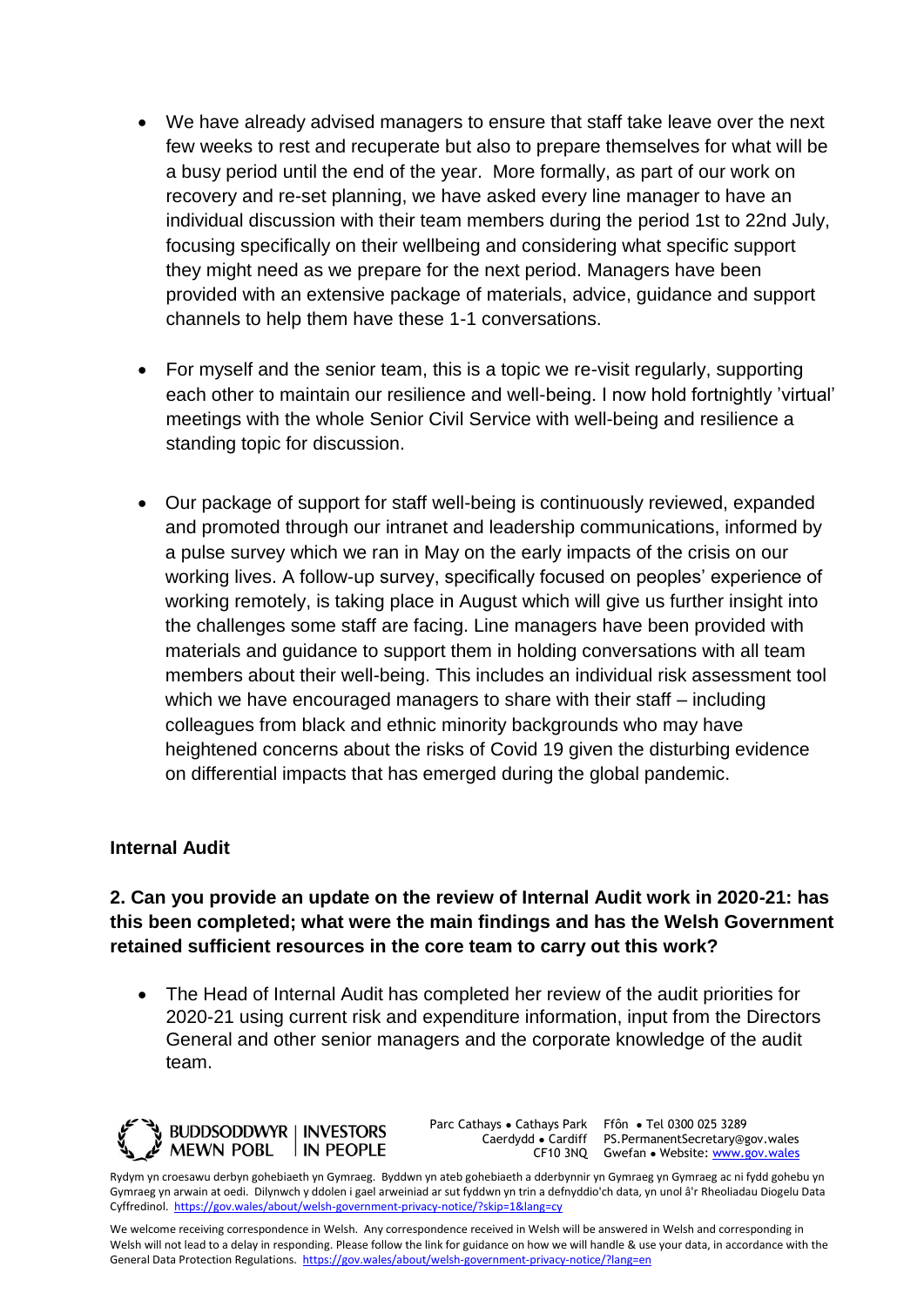- We have already advised managers to ensure that staff take leave over the next few weeks to rest and recuperate but also to prepare themselves for what will be a busy period until the end of the year. More formally, as part of our work on recovery and re-set planning, we have asked every line manager to have an individual discussion with their team members during the period 1st to 22nd July, focusing specifically on their wellbeing and considering what specific support they might need as we prepare for the next period. Managers have been provided with an extensive package of materials, advice, guidance and support channels to help them have these 1-1 conversations.
- For myself and the senior team, this is a topic we re-visit regularly, supporting each other to maintain our resilience and well-being. I now hold fortnightly 'virtual' meetings with the whole Senior Civil Service with well-being and resilience a standing topic for discussion.
- Our package of support for staff well-being is continuously reviewed, expanded and promoted through our intranet and leadership communications, informed by a pulse survey which we ran in May on the early impacts of the crisis on our working lives. A follow-up survey, specifically focused on peoples' experience of working remotely, is taking place in August which will give us further insight into the challenges some staff are facing. Line managers have been provided with materials and guidance to support them in holding conversations with all team members about their well-being. This includes an individual risk assessment tool which we have encouraged managers to share with their staff – including colleagues from black and ethnic minority backgrounds who may have heightened concerns about the risks of Covid 19 given the disturbing evidence on differential impacts that has emerged during the global pandemic.

#### **Internal Audit**

**2. Can you provide an update on the review of Internal Audit work in 2020-21: has this been completed; what were the main findings and has the Welsh Government retained sufficient resources in the core team to carry out this work?** 

 The Head of Internal Audit has completed her review of the audit priorities for 2020-21 using current risk and expenditure information, input from the Directors General and other senior managers and the corporate knowledge of the audit team.



Parc Cathays ● Cathays Park Caerdydd ● Cardiff

CF10 3NQ Gwefan • Website: [www.gov.wales](http://www.gov.wales/) Ffôn ● Tel 0300 025 3289 PS.PermanentSecretary@gov.wales

Rydym yn croesawu derbyn gohebiaeth yn Gymraeg. Byddwn yn ateb gohebiaeth a dderbynnir yn Gymraeg yn Gymraeg ac ni fydd gohebu yn Gymraeg yn arwain at oedi. Dilynwch y ddolen i gael arweiniad ar sut fyddwn yn trin a defnyddio'ch data, yn unol â'r Rheoliadau Diogelu Data Cyffredinol.<https://gov.wales/about/welsh-government-privacy-notice/?skip=1&lang=cy>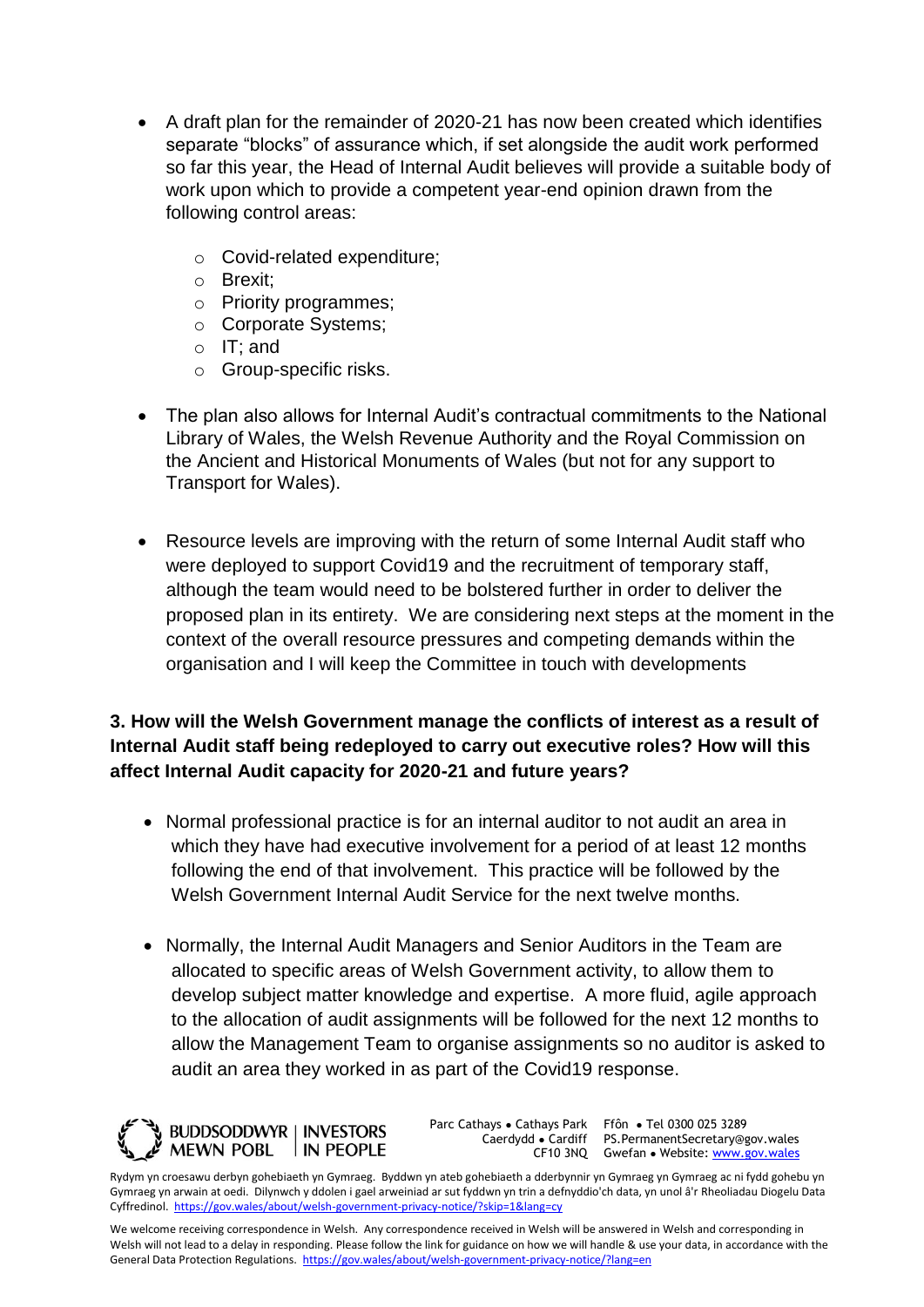- A draft plan for the remainder of 2020-21 has now been created which identifies separate "blocks" of assurance which, if set alongside the audit work performed so far this year, the Head of Internal Audit believes will provide a suitable body of work upon which to provide a competent year-end opinion drawn from the following control areas:
	- o Covid-related expenditure;
	- o Brexit;
	- o Priority programmes;
	- o Corporate Systems;
	- o IT; and
	- o Group-specific risks.
- The plan also allows for Internal Audit's contractual commitments to the National Library of Wales, the Welsh Revenue Authority and the Royal Commission on the Ancient and Historical Monuments of Wales (but not for any support to Transport for Wales).
- Resource levels are improving with the return of some Internal Audit staff who were deployed to support Covid19 and the recruitment of temporary staff, although the team would need to be bolstered further in order to deliver the proposed plan in its entirety. We are considering next steps at the moment in the context of the overall resource pressures and competing demands within the organisation and I will keep the Committee in touch with developments

# **3. How will the Welsh Government manage the conflicts of interest as a result of Internal Audit staff being redeployed to carry out executive roles? How will this affect Internal Audit capacity for 2020-21 and future years?**

- Normal professional practice is for an internal auditor to not audit an area in which they have had executive involvement for a period of at least 12 months following the end of that involvement. This practice will be followed by the Welsh Government Internal Audit Service for the next twelve months.
- Normally, the Internal Audit Managers and Senior Auditors in the Team are allocated to specific areas of Welsh Government activity, to allow them to develop subject matter knowledge and expertise. A more fluid, agile approach to the allocation of audit assignments will be followed for the next 12 months to allow the Management Team to organise assignments so no auditor is asked to audit an area they worked in as part of the Covid19 response.



Parc Cathays ● Cathays Park Caerdydd ● Cardiff

CF10 3NQ Gwefan • Website: [www.gov.wales](http://www.gov.wales/) Ffôn ● Tel 0300 025 3289 PS.PermanentSecretary@gov.wales

Rydym yn croesawu derbyn gohebiaeth yn Gymraeg. Byddwn yn ateb gohebiaeth a dderbynnir yn Gymraeg yn Gymraeg ac ni fydd gohebu yn Gymraeg yn arwain at oedi. Dilynwch y ddolen i gael arweiniad ar sut fyddwn yn trin a defnyddio'ch data, yn unol â'r Rheoliadau Diogelu Data Cyffredinol.<https://gov.wales/about/welsh-government-privacy-notice/?skip=1&lang=cy>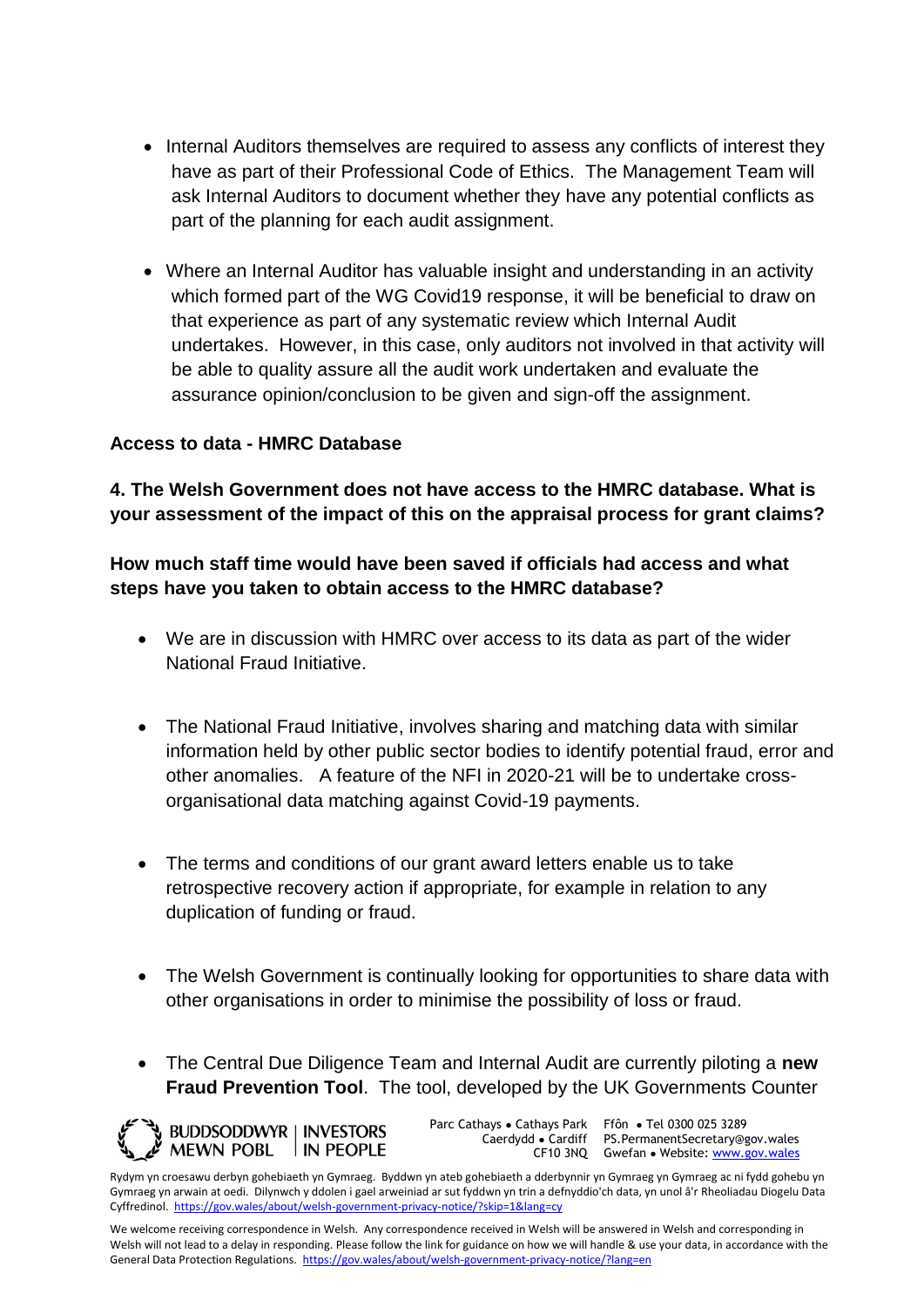- Internal Auditors themselves are required to assess any conflicts of interest they have as part of their Professional Code of Ethics. The Management Team will ask Internal Auditors to document whether they have any potential conflicts as part of the planning for each audit assignment.
- Where an Internal Auditor has valuable insight and understanding in an activity which formed part of the WG Covid19 response, it will be beneficial to draw on that experience as part of any systematic review which Internal Audit undertakes. However, in this case, only auditors not involved in that activity will be able to quality assure all the audit work undertaken and evaluate the assurance opinion/conclusion to be given and sign-off the assignment.

#### **Access to data - HMRC Database**

**4. The Welsh Government does not have access to the HMRC database. What is your assessment of the impact of this on the appraisal process for grant claims?** 

# **How much staff time would have been saved if officials had access and what steps have you taken to obtain access to the HMRC database?**

- We are in discussion with HMRC over access to its data as part of the wider National Fraud Initiative.
- The National Fraud Initiative, involves sharing and matching data with similar information held by other public sector bodies to identify potential fraud, error and other anomalies. A feature of the NFI in 2020-21 will be to undertake crossorganisational data matching against Covid-19 payments.
- The terms and conditions of our grant award letters enable us to take retrospective recovery action if appropriate, for example in relation to any duplication of funding or fraud.
- The Welsh Government is continually looking for opportunities to share data with other organisations in order to minimise the possibility of loss or fraud.
- The Central Due Diligence Team and Internal Audit are currently piloting a **new Fraud Prevention Tool**. The tool, developed by the UK Governments Counter

**WE BUDDSODDWYR | INVESTORS** MEWN POBL IN PEOPLE Parc Cathays ● Cathays Park Caerdydd ● Cardiff

CF10 3NQ Gwefan • Website: [www.gov.wales](http://www.gov.wales/) Ffôn ● Tel 0300 025 3289 PS.PermanentSecretary@gov.wales

Rydym yn croesawu derbyn gohebiaeth yn Gymraeg. Byddwn yn ateb gohebiaeth a dderbynnir yn Gymraeg yn Gymraeg ac ni fydd gohebu yn Gymraeg yn arwain at oedi. Dilynwch y ddolen i gael arweiniad ar sut fyddwn yn trin a defnyddio'ch data, yn unol â'r Rheoliadau Diogelu Data Cyffredinol.<https://gov.wales/about/welsh-government-privacy-notice/?skip=1&lang=cy>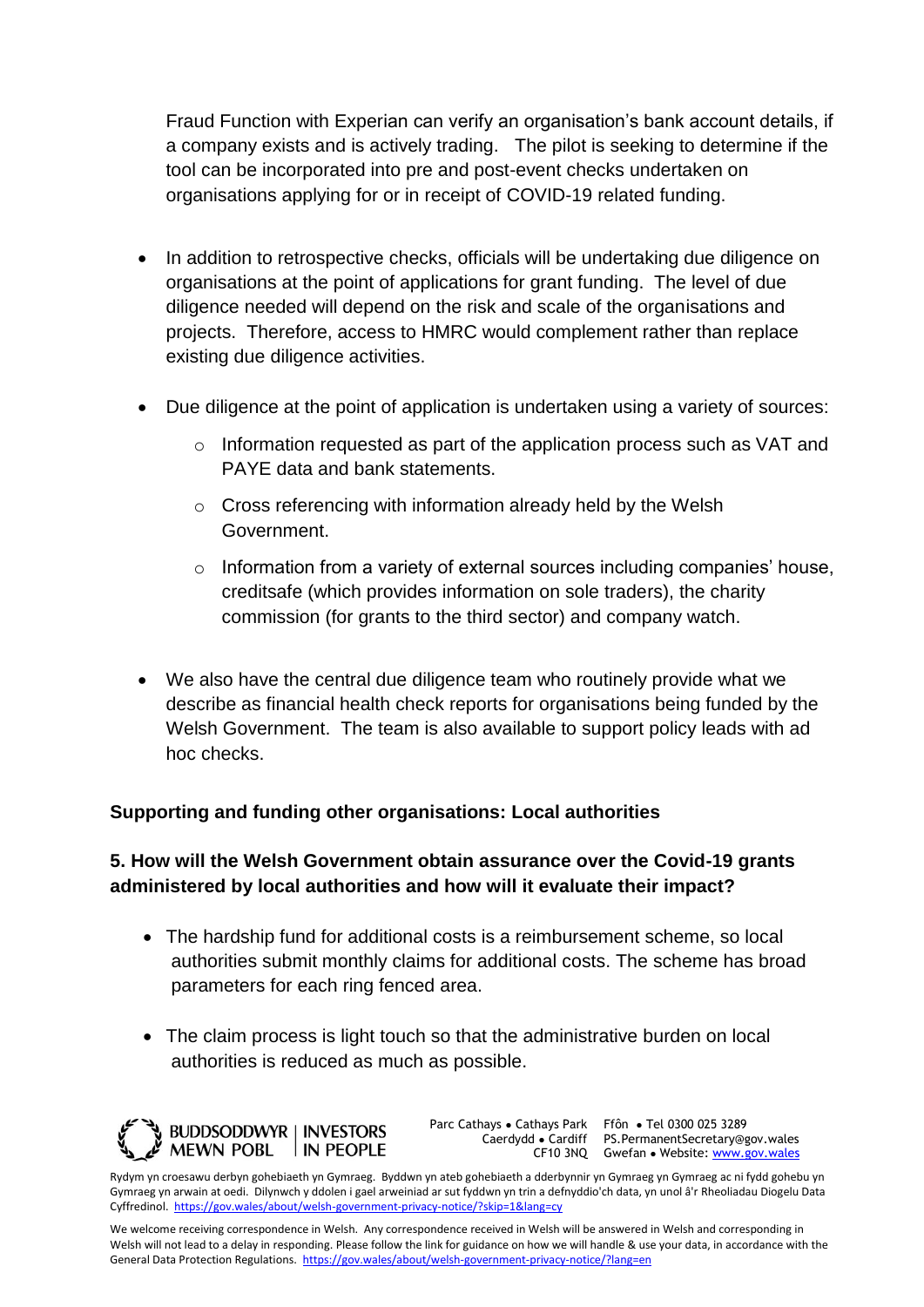Fraud Function with Experian can verify an organisation's bank account details, if a company exists and is actively trading. The pilot is seeking to determine if the tool can be incorporated into pre and post-event checks undertaken on organisations applying for or in receipt of COVID-19 related funding.

- In addition to retrospective checks, officials will be undertaking due diligence on organisations at the point of applications for grant funding. The level of due diligence needed will depend on the risk and scale of the organisations and projects. Therefore, access to HMRC would complement rather than replace existing due diligence activities.
- Due diligence at the point of application is undertaken using a variety of sources:
	- o Information requested as part of the application process such as VAT and PAYE data and bank statements.
	- o Cross referencing with information already held by the Welsh Government.
	- o Information from a variety of external sources including companies' house, creditsafe (which provides information on sole traders), the charity commission (for grants to the third sector) and company watch.
- We also have the central due diligence team who routinely provide what we describe as financial health check reports for organisations being funded by the Welsh Government. The team is also available to support policy leads with ad hoc checks.

# **Supporting and funding other organisations: Local authorities**

# **5. How will the Welsh Government obtain assurance over the Covid-19 grants administered by local authorities and how will it evaluate their impact?**

- The hardship fund for additional costs is a reimbursement scheme, so local authorities submit monthly claims for additional costs. The scheme has broad parameters for each ring fenced area.
- The claim process is light touch so that the administrative burden on local authorities is reduced as much as possible.



Parc Cathays ● Cathays Park Caerdydd ● Cardiff

CF10 3NQ Gwefan • Website: [www.gov.wales](http://www.gov.wales/) Ffôn ● Tel 0300 025 3289 PS.PermanentSecretary@gov.wales

Rydym yn croesawu derbyn gohebiaeth yn Gymraeg. Byddwn yn ateb gohebiaeth a dderbynnir yn Gymraeg yn Gymraeg ac ni fydd gohebu yn Gymraeg yn arwain at oedi. Dilynwch y ddolen i gael arweiniad ar sut fyddwn yn trin a defnyddio'ch data, yn unol â'r Rheoliadau Diogelu Data Cyffredinol.<https://gov.wales/about/welsh-government-privacy-notice/?skip=1&lang=cy>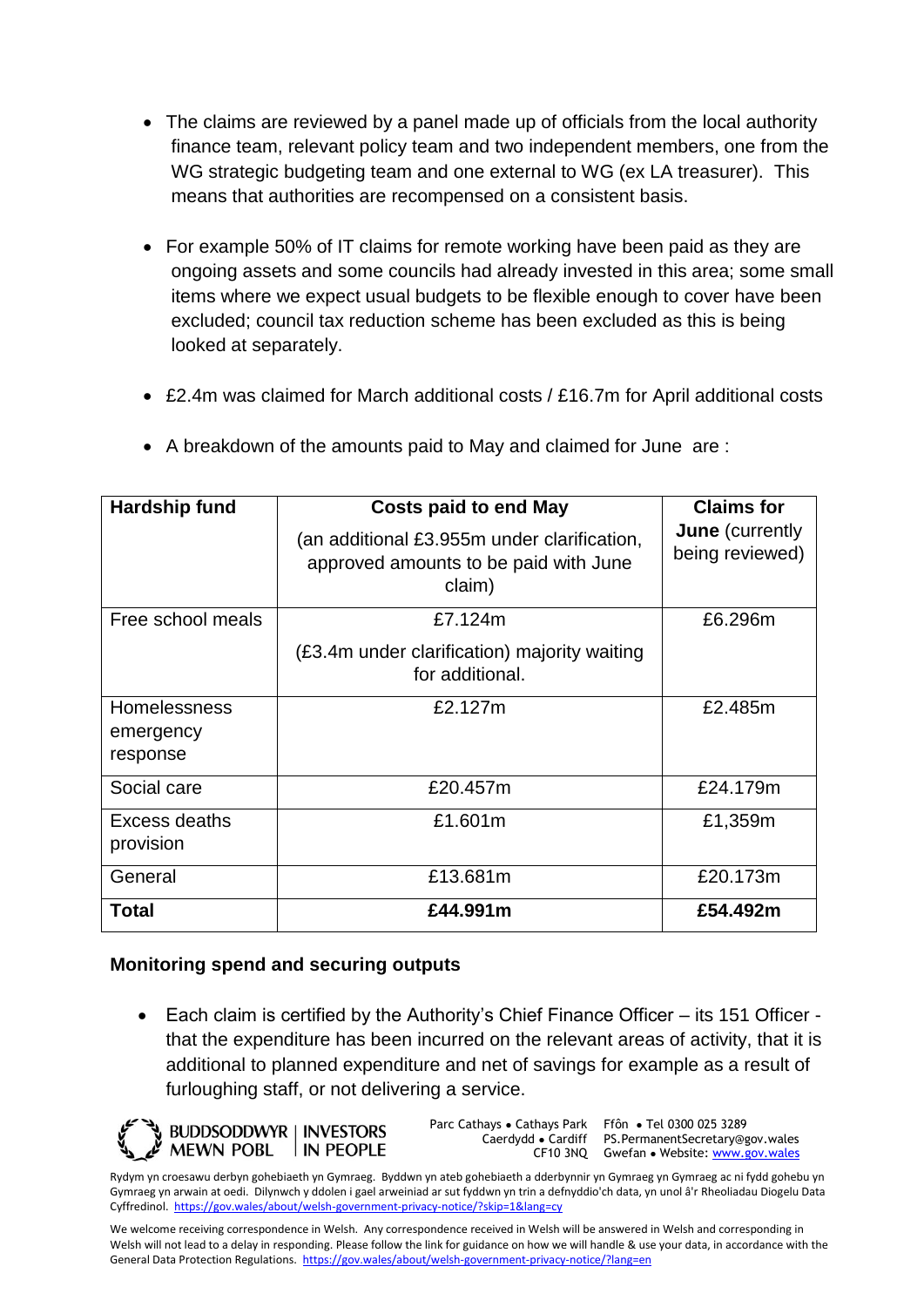- The claims are reviewed by a panel made up of officials from the local authority finance team, relevant policy team and two independent members, one from the WG strategic budgeting team and one external to WG (ex LA treasurer). This means that authorities are recompensed on a consistent basis.
- For example 50% of IT claims for remote working have been paid as they are ongoing assets and some councils had already invested in this area; some small items where we expect usual budgets to be flexible enough to cover have been excluded; council tax reduction scheme has been excluded as this is being looked at separately.
- £2.4m was claimed for March additional costs / £16.7m for April additional costs

| Hardship fund                                | <b>Costs paid to end May</b><br>(an additional £3.955m under clarification,<br>approved amounts to be paid with June<br>claim) | <b>Claims for</b><br><b>June</b> (currently<br>being reviewed) |
|----------------------------------------------|--------------------------------------------------------------------------------------------------------------------------------|----------------------------------------------------------------|
| Free school meals                            | £7.124m<br>(£3.4m under clarification) majority waiting<br>for additional.                                                     | £6.296m                                                        |
| <b>Homelessness</b><br>emergency<br>response | £2.127m                                                                                                                        | £2.485m                                                        |
| Social care                                  | £20.457m                                                                                                                       | £24.179m                                                       |
| Excess deaths<br>provision                   | £1.601m                                                                                                                        | £1,359m                                                        |
| General                                      | £13.681m                                                                                                                       | £20.173m                                                       |
| Total                                        | £44.991m                                                                                                                       | £54.492m                                                       |

A breakdown of the amounts paid to May and claimed for June are :

# **Monitoring spend and securing outputs**

 Each claim is certified by the Authority's Chief Finance Officer – its 151 Officer that the expenditure has been incurred on the relevant areas of activity, that it is additional to planned expenditure and net of savings for example as a result of furloughing staff, or not delivering a service.

**BUDDSODDWYR | INVESTORS MEWN POBL** IN PEOPLE Parc Cathays ● Cathays Park Caerdydd ● Cardiff

CF10 3NQ Gwefan • Website: [www.gov.wales](http://www.gov.wales/) Ffôn ● Tel 0300 025 3289 PS.PermanentSecretary@gov.wales

Rydym yn croesawu derbyn gohebiaeth yn Gymraeg. Byddwn yn ateb gohebiaeth a dderbynnir yn Gymraeg yn Gymraeg ac ni fydd gohebu yn Gymraeg yn arwain at oedi. Dilynwch y ddolen i gael arweiniad ar sut fyddwn yn trin a defnyddio'ch data, yn unol â'r Rheoliadau Diogelu Data Cyffredinol.<https://gov.wales/about/welsh-government-privacy-notice/?skip=1&lang=cy>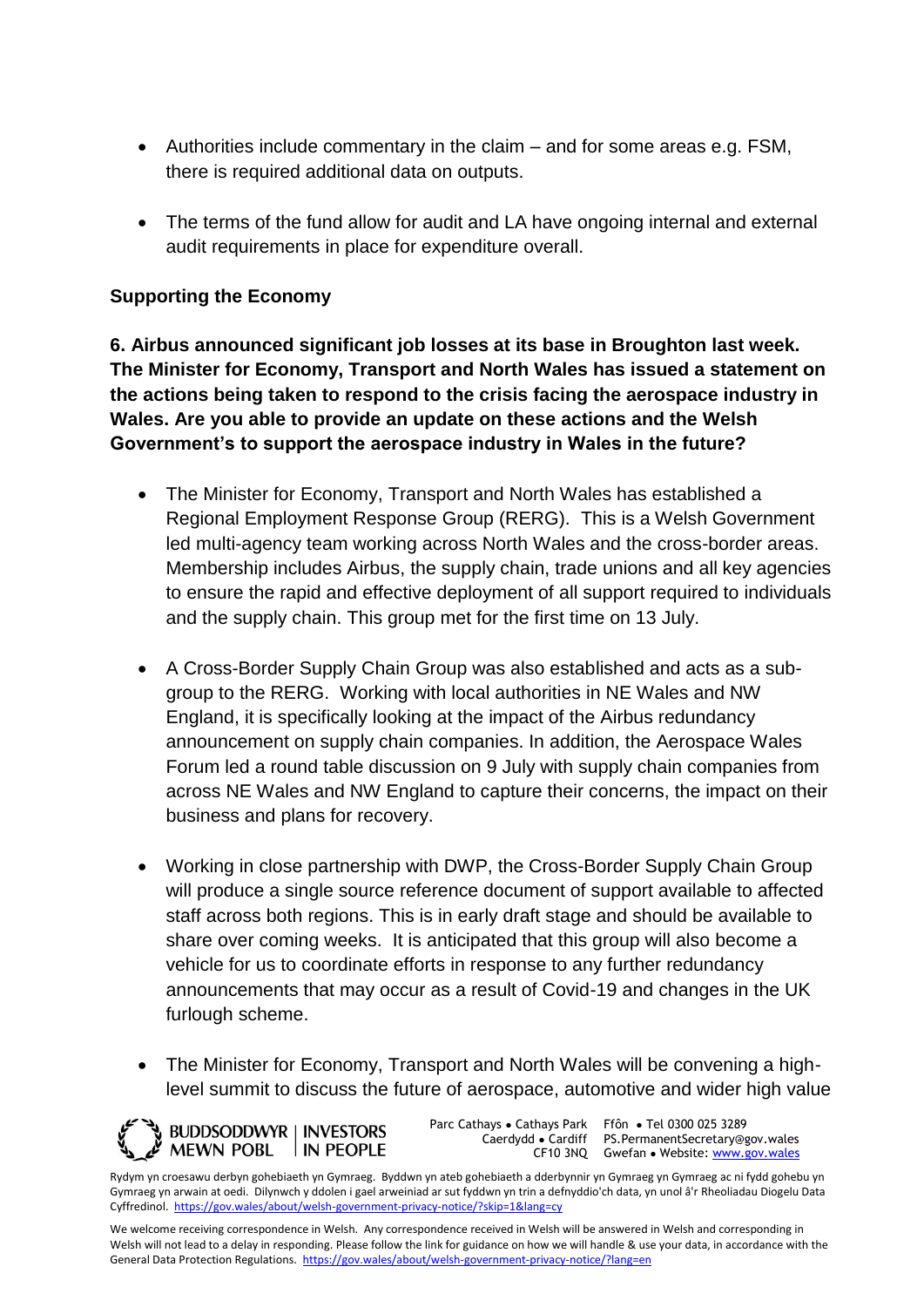- Authorities include commentary in the claim and for some areas e.g. FSM, there is required additional data on outputs.
- The terms of the fund allow for audit and LA have ongoing internal and external audit requirements in place for expenditure overall.

### **Supporting the Economy**

**6. Airbus announced significant job losses at its base in Broughton last week. The Minister for Economy, Transport and North Wales has issued a statement on the actions being taken to respond to the crisis facing the aerospace industry in Wales. Are you able to provide an update on these actions and the Welsh Government's to support the aerospace industry in Wales in the future?** 

- The Minister for Economy, Transport and North Wales has established a Regional Employment Response Group (RERG). This is a Welsh Government led multi-agency team working across North Wales and the cross-border areas. Membership includes Airbus, the supply chain, trade unions and all key agencies to ensure the rapid and effective deployment of all support required to individuals and the supply chain. This group met for the first time on 13 July.
- A Cross-Border Supply Chain Group was also established and acts as a subgroup to the RERG. Working with local authorities in NE Wales and NW England, it is specifically looking at the impact of the Airbus redundancy announcement on supply chain companies. In addition, the Aerospace Wales Forum led a round table discussion on 9 July with supply chain companies from across NE Wales and NW England to capture their concerns, the impact on their business and plans for recovery.
- Working in close partnership with DWP, the Cross-Border Supply Chain Group will produce a single source reference document of support available to affected staff across both regions. This is in early draft stage and should be available to share over coming weeks. It is anticipated that this group will also become a vehicle for us to coordinate efforts in response to any further redundancy announcements that may occur as a result of Covid-19 and changes in the UK furlough scheme.
- The Minister for Economy, Transport and North Wales will be convening a highlevel summit to discuss the future of aerospace, automotive and wider high value

**WE BUDDSODDWYR | INVESTORS** MEWN POBL IN PEOPLE Parc Cathays ● Cathays Park Caerdydd ● Cardiff

CF10 3NQ Gwefan • Website: [www.gov.wales](http://www.gov.wales/) Ffôn ● Tel 0300 025 3289 PS.PermanentSecretary@gov.wales

Rydym yn croesawu derbyn gohebiaeth yn Gymraeg. Byddwn yn ateb gohebiaeth a dderbynnir yn Gymraeg yn Gymraeg ac ni fydd gohebu yn Gymraeg yn arwain at oedi. Dilynwch y ddolen i gael arweiniad ar sut fyddwn yn trin a defnyddio'ch data, yn unol â'r Rheoliadau Diogelu Data Cyffredinol.<https://gov.wales/about/welsh-government-privacy-notice/?skip=1&lang=cy>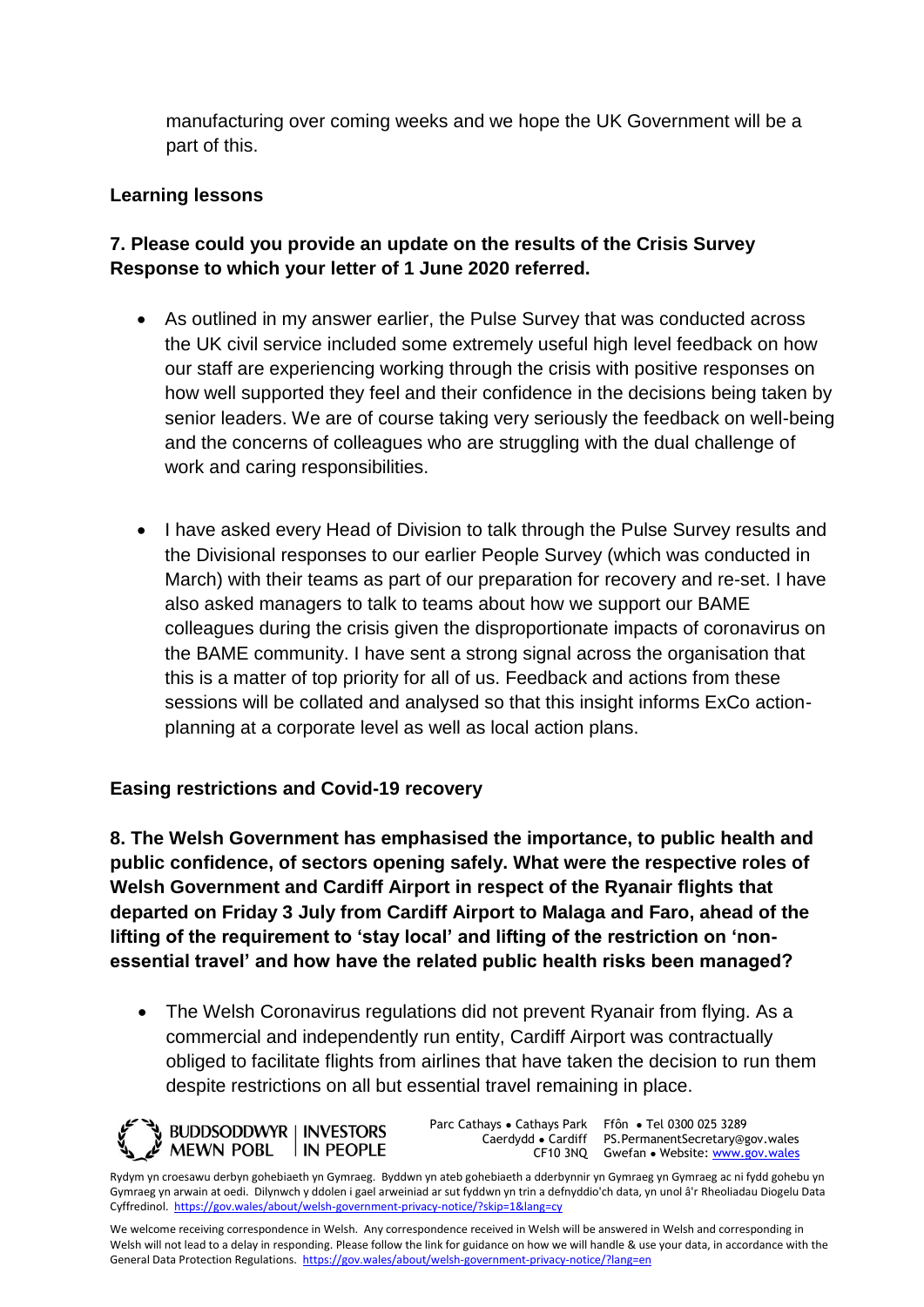manufacturing over coming weeks and we hope the UK Government will be a part of this.

#### **Learning lessons**

# **7. Please could you provide an update on the results of the Crisis Survey Response to which your letter of 1 June 2020 referred.**

- As outlined in my answer earlier, the Pulse Survey that was conducted across the UK civil service included some extremely useful high level feedback on how our staff are experiencing working through the crisis with positive responses on how well supported they feel and their confidence in the decisions being taken by senior leaders. We are of course taking very seriously the feedback on well-being and the concerns of colleagues who are struggling with the dual challenge of work and caring responsibilities.
- I have asked every Head of Division to talk through the Pulse Survey results and the Divisional responses to our earlier People Survey (which was conducted in March) with their teams as part of our preparation for recovery and re-set. I have also asked managers to talk to teams about how we support our BAME colleagues during the crisis given the disproportionate impacts of coronavirus on the BAME community. I have sent a strong signal across the organisation that this is a matter of top priority for all of us. Feedback and actions from these sessions will be collated and analysed so that this insight informs ExCo actionplanning at a corporate level as well as local action plans.

#### **Easing restrictions and Covid-19 recovery**

**8. The Welsh Government has emphasised the importance, to public health and public confidence, of sectors opening safely. What were the respective roles of Welsh Government and Cardiff Airport in respect of the Ryanair flights that departed on Friday 3 July from Cardiff Airport to Malaga and Faro, ahead of the lifting of the requirement to 'stay local' and lifting of the restriction on 'nonessential travel' and how have the related public health risks been managed?** 

• The Welsh Coronavirus regulations did not prevent Ryanair from flying. As a commercial and independently run entity, Cardiff Airport was contractually obliged to facilitate flights from airlines that have taken the decision to run them despite restrictions on all but essential travel remaining in place.



Parc Cathays ● Cathays Park Caerdydd ● Cardiff

CF10 3NQ Gwefan • Website: [www.gov.wales](http://www.gov.wales/) Ffôn ● Tel 0300 025 3289 PS.PermanentSecretary@gov.wales

Rydym yn croesawu derbyn gohebiaeth yn Gymraeg. Byddwn yn ateb gohebiaeth a dderbynnir yn Gymraeg yn Gymraeg ac ni fydd gohebu yn Gymraeg yn arwain at oedi. Dilynwch y ddolen i gael arweiniad ar sut fyddwn yn trin a defnyddio'ch data, yn unol â'r Rheoliadau Diogelu Data Cyffredinol.<https://gov.wales/about/welsh-government-privacy-notice/?skip=1&lang=cy>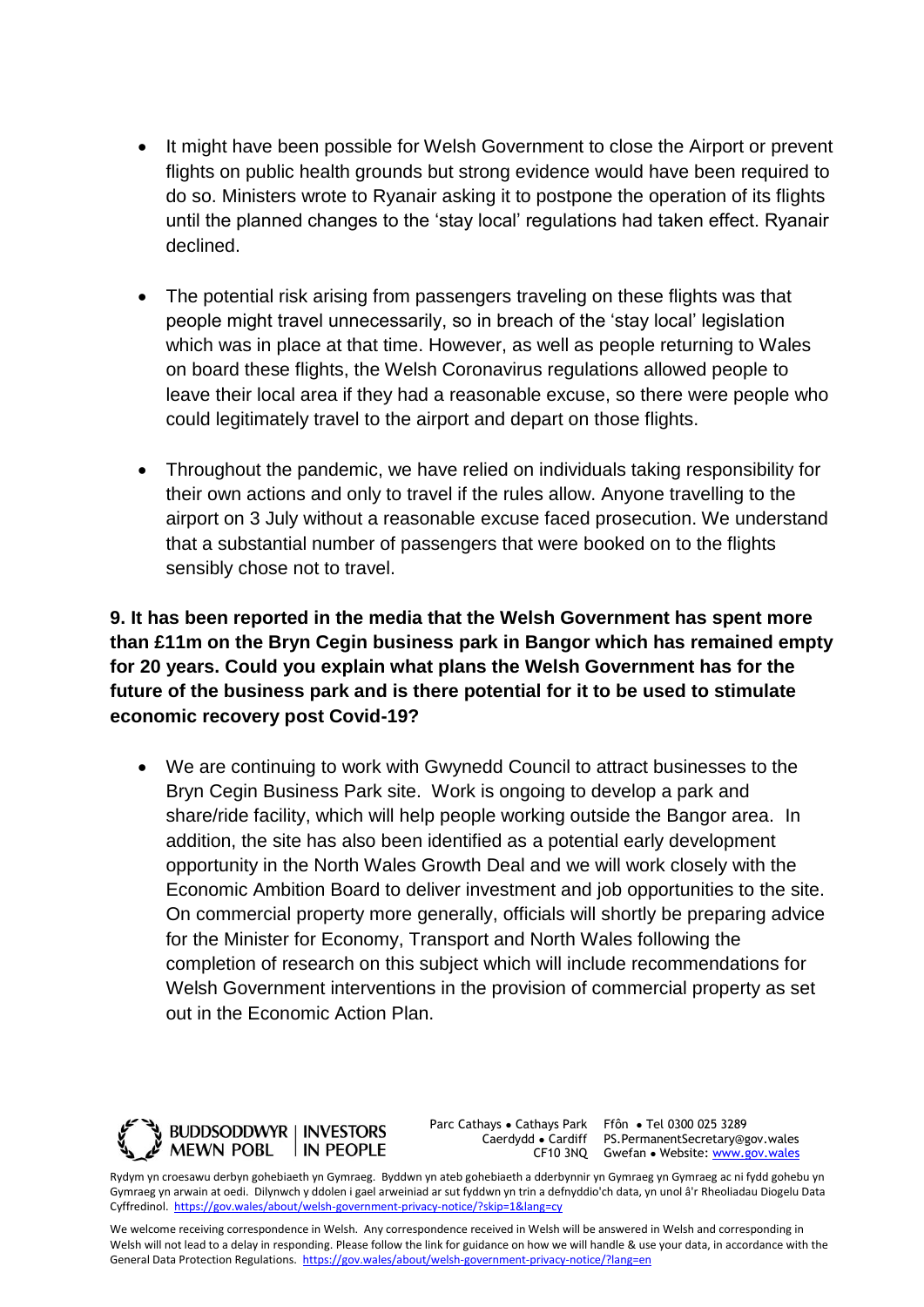- It might have been possible for Welsh Government to close the Airport or prevent flights on public health grounds but strong evidence would have been required to do so. Ministers wrote to Ryanair asking it to postpone the operation of its flights until the planned changes to the 'stay local' regulations had taken effect. Ryanair declined.
- The potential risk arising from passengers traveling on these flights was that people might travel unnecessarily, so in breach of the 'stay local' legislation which was in place at that time. However, as well as people returning to Wales on board these flights, the Welsh Coronavirus regulations allowed people to leave their local area if they had a reasonable excuse, so there were people who could legitimately travel to the airport and depart on those flights.
- Throughout the pandemic, we have relied on individuals taking responsibility for their own actions and only to travel if the rules allow. Anyone travelling to the airport on 3 July without a reasonable excuse faced prosecution. We understand that a substantial number of passengers that were booked on to the flights sensibly chose not to travel.

**9. It has been reported in the media that the Welsh Government has spent more than £11m on the Bryn Cegin business park in Bangor which has remained empty for 20 years. Could you explain what plans the Welsh Government has for the future of the business park and is there potential for it to be used to stimulate economic recovery post Covid-19?** 

 We are continuing to work with Gwynedd Council to attract businesses to the Bryn Cegin Business Park site. Work is ongoing to develop a park and share/ride facility, which will help people working outside the Bangor area. In addition, the site has also been identified as a potential early development opportunity in the North Wales Growth Deal and we will work closely with the Economic Ambition Board to deliver investment and job opportunities to the site. On commercial property more generally, officials will shortly be preparing advice for the Minister for Economy, Transport and North Wales following the completion of research on this subject which will include recommendations for Welsh Government interventions in the provision of commercial property as set out in the Economic Action Plan.



Parc Cathays ● Cathays Park Caerdydd ● Cardiff

CF10 3NQ Gwefan • Website: [www.gov.wales](http://www.gov.wales/) Ffôn ● Tel 0300 025 3289 PS.PermanentSecretary@gov.wales

Rydym yn croesawu derbyn gohebiaeth yn Gymraeg. Byddwn yn ateb gohebiaeth a dderbynnir yn Gymraeg yn Gymraeg ac ni fydd gohebu yn Gymraeg yn arwain at oedi. Dilynwch y ddolen i gael arweiniad ar sut fyddwn yn trin a defnyddio'ch data, yn unol â'r Rheoliadau Diogelu Data Cyffredinol.<https://gov.wales/about/welsh-government-privacy-notice/?skip=1&lang=cy>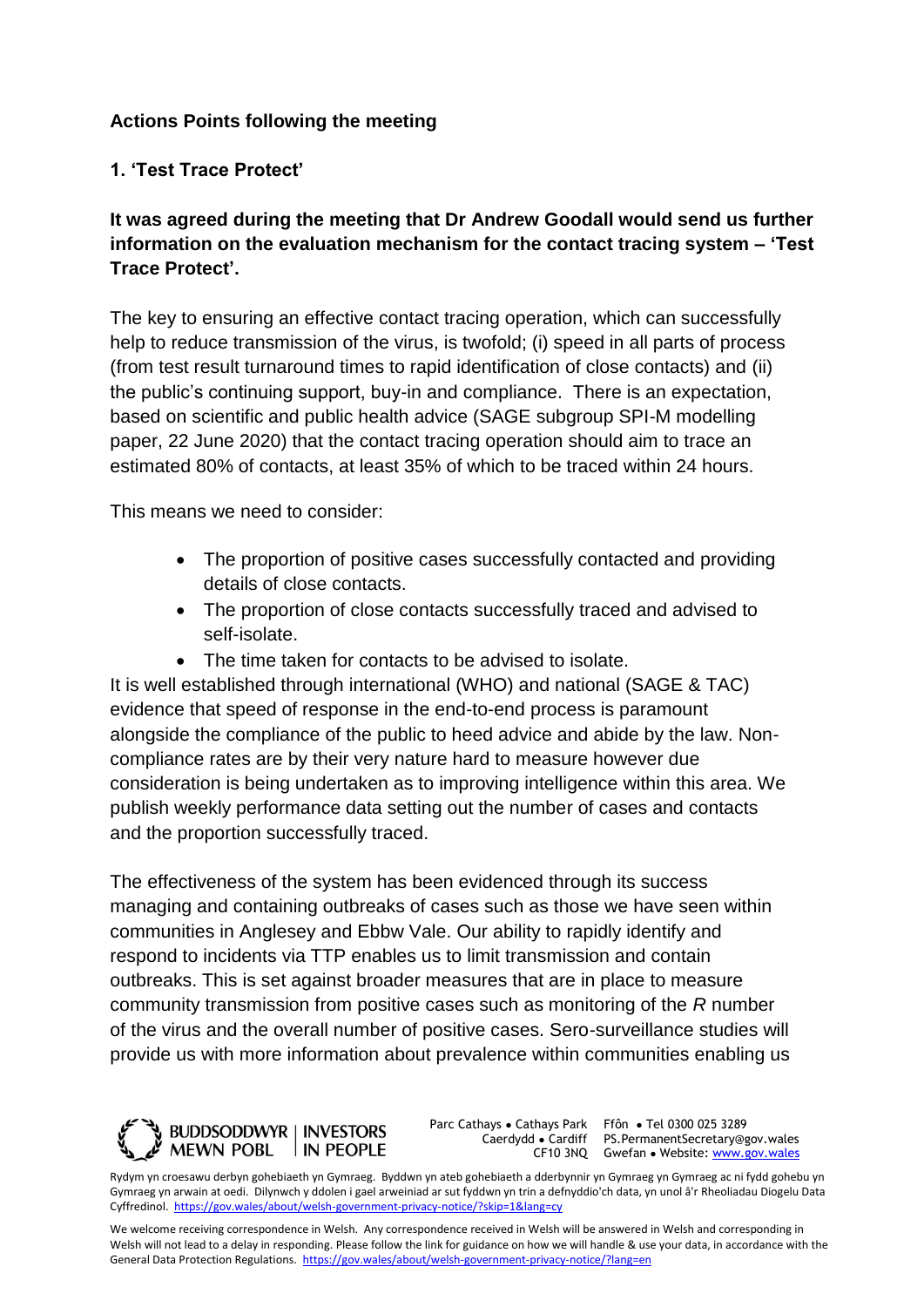# **Actions Points following the meeting**

# **1. 'Test Trace Protect'**

**It was agreed during the meeting that Dr Andrew Goodall would send us further information on the evaluation mechanism for the contact tracing system – 'Test Trace Protect'.**

The key to ensuring an effective contact tracing operation, which can successfully help to reduce transmission of the virus, is twofold; (i) speed in all parts of process (from test result turnaround times to rapid identification of close contacts) and (ii) the public's continuing support, buy-in and compliance. There is an expectation, based on scientific and public health advice (SAGE subgroup SPI-M modelling paper, 22 June 2020) that the contact tracing operation should aim to trace an estimated 80% of contacts, at least 35% of which to be traced within 24 hours.

This means we need to consider:

- The proportion of positive cases successfully contacted and providing details of close contacts.
- The proportion of close contacts successfully traced and advised to self-isolate.
- The time taken for contacts to be advised to isolate.

It is well established through international (WHO) and national (SAGE & TAC) evidence that speed of response in the end-to-end process is paramount alongside the compliance of the public to heed advice and abide by the law. Noncompliance rates are by their very nature hard to measure however due consideration is being undertaken as to improving intelligence within this area. We publish weekly performance data setting out the number of cases and contacts and the proportion successfully traced.

The effectiveness of the system has been evidenced through its success managing and containing outbreaks of cases such as those we have seen within communities in Anglesey and Ebbw Vale. Our ability to rapidly identify and respond to incidents via TTP enables us to limit transmission and contain outbreaks. This is set against broader measures that are in place to measure community transmission from positive cases such as monitoring of the *R* number of the virus and the overall number of positive cases. Sero-surveillance studies will provide us with more information about prevalence within communities enabling us



Parc Cathays ● Cathays Park Caerdydd ● Cardiff

CF10 3NQ Gwefan • Website: [www.gov.wales](http://www.gov.wales/) Ffôn ● Tel 0300 025 3289 PS.PermanentSecretary@gov.wales

Rydym yn croesawu derbyn gohebiaeth yn Gymraeg. Byddwn yn ateb gohebiaeth a dderbynnir yn Gymraeg yn Gymraeg ac ni fydd gohebu yn Gymraeg yn arwain at oedi. Dilynwch y ddolen i gael arweiniad ar sut fyddwn yn trin a defnyddio'ch data, yn unol â'r Rheoliadau Diogelu Data Cyffredinol.<https://gov.wales/about/welsh-government-privacy-notice/?skip=1&lang=cy>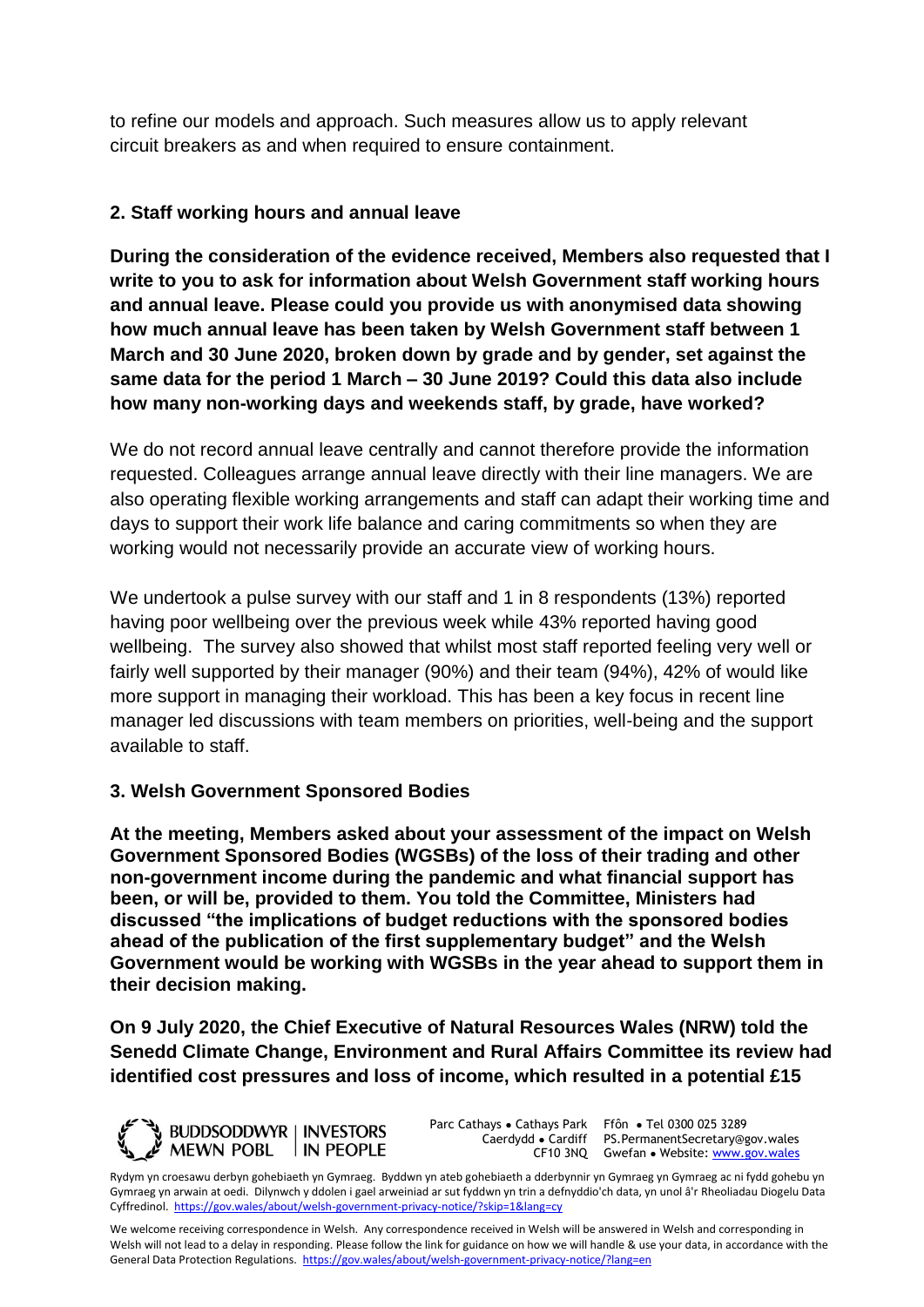to refine our models and approach. Such measures allow us to apply relevant circuit breakers as and when required to ensure containment.

### **2. Staff working hours and annual leave**

**During the consideration of the evidence received, Members also requested that I write to you to ask for information about Welsh Government staff working hours and annual leave. Please could you provide us with anonymised data showing how much annual leave has been taken by Welsh Government staff between 1 March and 30 June 2020, broken down by grade and by gender, set against the same data for the period 1 March – 30 June 2019? Could this data also include how many non-working days and weekends staff, by grade, have worked?** 

We do not record annual leave centrally and cannot therefore provide the information requested. Colleagues arrange annual leave directly with their line managers. We are also operating flexible working arrangements and staff can adapt their working time and days to support their work life balance and caring commitments so when they are working would not necessarily provide an accurate view of working hours.

We undertook a pulse survey with our staff and 1 in 8 respondents (13%) reported having poor wellbeing over the previous week while 43% reported having good wellbeing. The survey also showed that whilst most staff reported feeling very well or fairly well supported by their manager (90%) and their team (94%), 42% of would like more support in managing their workload. This has been a key focus in recent line manager led discussions with team members on priorities, well-being and the support available to staff.

#### **3. Welsh Government Sponsored Bodies**

**At the meeting, Members asked about your assessment of the impact on Welsh Government Sponsored Bodies (WGSBs) of the loss of their trading and other non-government income during the pandemic and what financial support has been, or will be, provided to them. You told the Committee, Ministers had discussed "the implications of budget reductions with the sponsored bodies ahead of the publication of the first supplementary budget" and the Welsh Government would be working with WGSBs in the year ahead to support them in their decision making.** 

**On 9 July 2020, the Chief Executive of Natural Resources Wales (NRW) told the Senedd Climate Change, Environment and Rural Affairs Committee its review had identified cost pressures and loss of income, which resulted in a potential £15** 



Parc Cathays ● Cathays Park Caerdydd ● Cardiff

CF10 3NQ Gwefan • Website: [www.gov.wales](http://www.gov.wales/) Ffôn ● Tel 0300 025 3289 PS.PermanentSecretary@gov.wales

Rydym yn croesawu derbyn gohebiaeth yn Gymraeg. Byddwn yn ateb gohebiaeth a dderbynnir yn Gymraeg yn Gymraeg ac ni fydd gohebu yn Gymraeg yn arwain at oedi. Dilynwch y ddolen i gael arweiniad ar sut fyddwn yn trin a defnyddio'ch data, yn unol â'r Rheoliadau Diogelu Data Cyffredinol.<https://gov.wales/about/welsh-government-privacy-notice/?skip=1&lang=cy>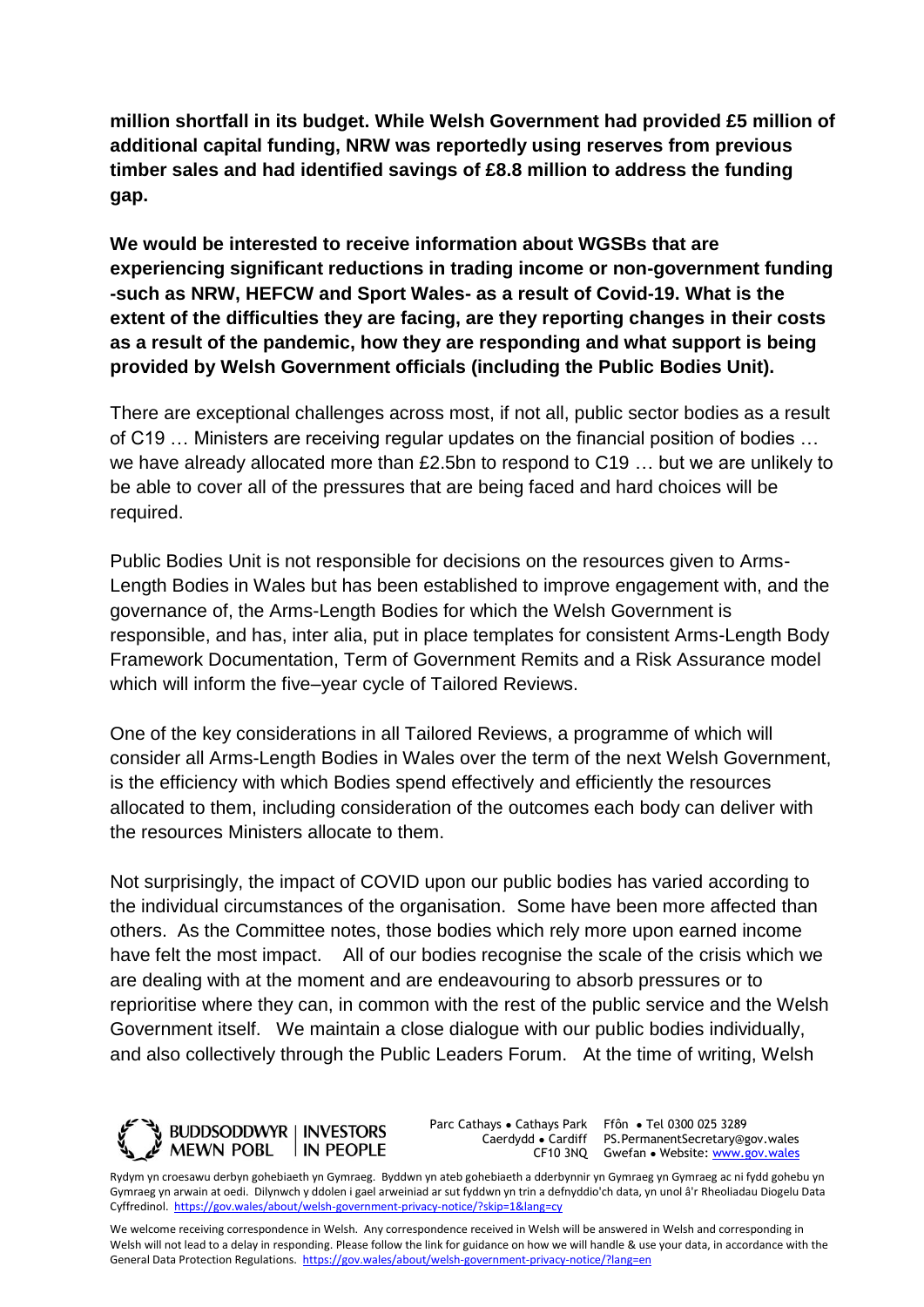**million shortfall in its budget. While Welsh Government had provided £5 million of additional capital funding, NRW was reportedly using reserves from previous timber sales and had identified savings of £8.8 million to address the funding gap.** 

**We would be interested to receive information about WGSBs that are experiencing significant reductions in trading income or non-government funding -such as NRW, HEFCW and Sport Wales- as a result of Covid-19. What is the extent of the difficulties they are facing, are they reporting changes in their costs as a result of the pandemic, how they are responding and what support is being provided by Welsh Government officials (including the Public Bodies Unit).** 

There are exceptional challenges across most, if not all, public sector bodies as a result of C19 … Ministers are receiving regular updates on the financial position of bodies … we have already allocated more than £2.5bn to respond to C19 … but we are unlikely to be able to cover all of the pressures that are being faced and hard choices will be required.

Public Bodies Unit is not responsible for decisions on the resources given to Arms-Length Bodies in Wales but has been established to improve engagement with, and the governance of, the Arms-Length Bodies for which the Welsh Government is responsible, and has, inter alia, put in place templates for consistent Arms-Length Body Framework Documentation, Term of Government Remits and a Risk Assurance model which will inform the five–year cycle of Tailored Reviews.

One of the key considerations in all Tailored Reviews, a programme of which will consider all Arms-Length Bodies in Wales over the term of the next Welsh Government, is the efficiency with which Bodies spend effectively and efficiently the resources allocated to them, including consideration of the outcomes each body can deliver with the resources Ministers allocate to them.

Not surprisingly, the impact of COVID upon our public bodies has varied according to the individual circumstances of the organisation. Some have been more affected than others. As the Committee notes, those bodies which rely more upon earned income have felt the most impact. All of our bodies recognise the scale of the crisis which we are dealing with at the moment and are endeavouring to absorb pressures or to reprioritise where they can, in common with the rest of the public service and the Welsh Government itself. We maintain a close dialogue with our public bodies individually, and also collectively through the Public Leaders Forum. At the time of writing, Welsh



Parc Cathays ● Cathays Park

Caerdydd ● Cardiff PS.PermanentSecretary@gov.wales CF10 3NQ Gwefan • Website: [www.gov.wales](http://www.gov.wales/) Ffôn ● Tel 0300 025 3289

Rydym yn croesawu derbyn gohebiaeth yn Gymraeg. Byddwn yn ateb gohebiaeth a dderbynnir yn Gymraeg yn Gymraeg ac ni fydd gohebu yn Gymraeg yn arwain at oedi. Dilynwch y ddolen i gael arweiniad ar sut fyddwn yn trin a defnyddio'ch data, yn unol â'r Rheoliadau Diogelu Data Cyffredinol.<https://gov.wales/about/welsh-government-privacy-notice/?skip=1&lang=cy>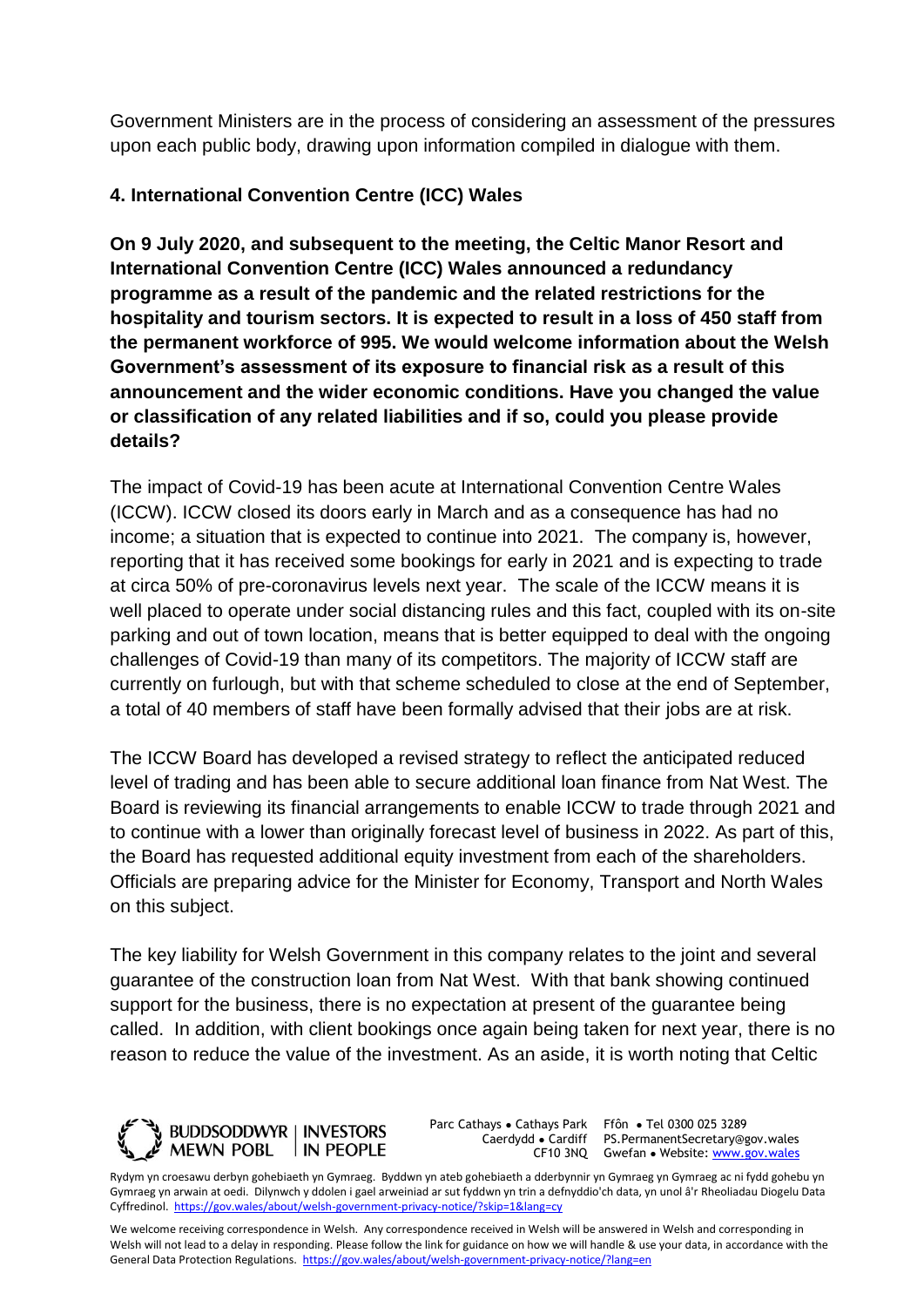Government Ministers are in the process of considering an assessment of the pressures upon each public body, drawing upon information compiled in dialogue with them.

# **4. International Convention Centre (ICC) Wales**

**On 9 July 2020, and subsequent to the meeting, the Celtic Manor Resort and International Convention Centre (ICC) Wales announced a redundancy programme as a result of the pandemic and the related restrictions for the hospitality and tourism sectors. It is expected to result in a loss of 450 staff from the permanent workforce of 995. We would welcome information about the Welsh Government's assessment of its exposure to financial risk as a result of this announcement and the wider economic conditions. Have you changed the value or classification of any related liabilities and if so, could you please provide details?**

The impact of Covid-19 has been acute at International Convention Centre Wales (ICCW). ICCW closed its doors early in March and as a consequence has had no income; a situation that is expected to continue into 2021. The company is, however, reporting that it has received some bookings for early in 2021 and is expecting to trade at circa 50% of pre-coronavirus levels next year. The scale of the ICCW means it is well placed to operate under social distancing rules and this fact, coupled with its on-site parking and out of town location, means that is better equipped to deal with the ongoing challenges of Covid-19 than many of its competitors. The majority of ICCW staff are currently on furlough, but with that scheme scheduled to close at the end of September, a total of 40 members of staff have been formally advised that their jobs are at risk.

The ICCW Board has developed a revised strategy to reflect the anticipated reduced level of trading and has been able to secure additional loan finance from Nat West. The Board is reviewing its financial arrangements to enable ICCW to trade through 2021 and to continue with a lower than originally forecast level of business in 2022. As part of this, the Board has requested additional equity investment from each of the shareholders. Officials are preparing advice for the Minister for Economy, Transport and North Wales on this subject.

The key liability for Welsh Government in this company relates to the joint and several guarantee of the construction loan from Nat West. With that bank showing continued support for the business, there is no expectation at present of the guarantee being called. In addition, with client bookings once again being taken for next year, there is no reason to reduce the value of the investment. As an aside, it is worth noting that Celtic



Parc Cathays ● Cathays Park

Caerdydd ● Cardiff PS.PermanentSecretary@gov.wales CF10 3NQ Gwefan • Website: [www.gov.wales](http://www.gov.wales/) Ffôn ● Tel 0300 025 3289

Rydym yn croesawu derbyn gohebiaeth yn Gymraeg. Byddwn yn ateb gohebiaeth a dderbynnir yn Gymraeg yn Gymraeg ac ni fydd gohebu yn Gymraeg yn arwain at oedi. Dilynwch y ddolen i gael arweiniad ar sut fyddwn yn trin a defnyddio'ch data, yn unol â'r Rheoliadau Diogelu Data Cyffredinol.<https://gov.wales/about/welsh-government-privacy-notice/?skip=1&lang=cy>